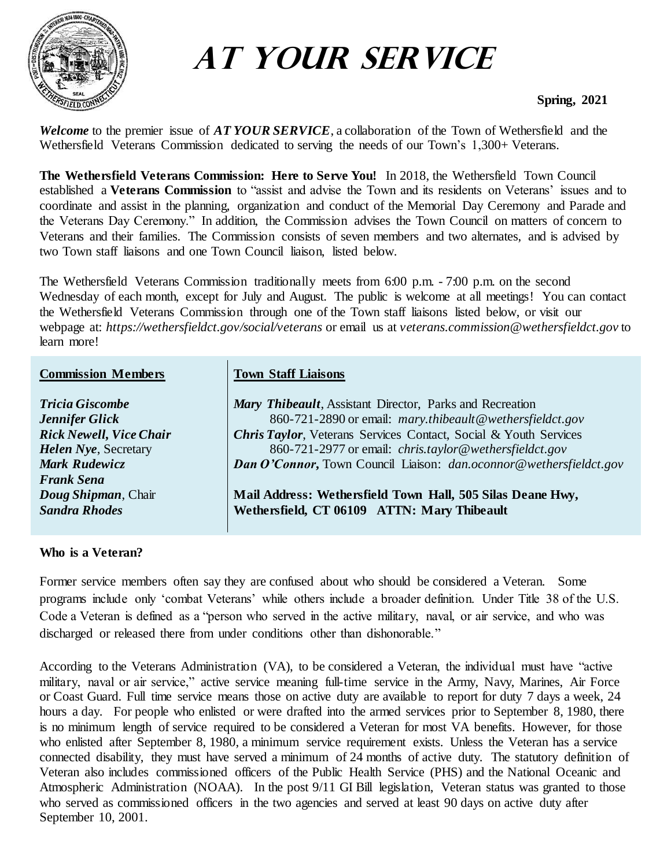

# **At Your Service**

## **Spring, 2021**

*Welcome* to the premier issue of *AT YOUR SERVICE*, a collaboration of the Town of Wethersfield and the Wethersfield Veterans Commission dedicated to serving the needs of our Town's 1,300+ Veterans.

**The Wethersfield Veterans Commission: Here to Serve You!** In 2018, the Wethersfield Town Council established a **Veterans Commission** to "assist and advise the Town and its residents on Veterans' issues and to coordinate and assist in the planning, organization and conduct of the Memorial Day Ceremony and Parade and the Veterans Day Ceremony." In addition, the Commission advises the Town Council on matters of concern to Veterans and their families. The Commission consists of seven members and two alternates, and is advised by two Town staff liaisons and one Town Council liaison, listed below.

The Wethersfield Veterans Commission traditionally meets from 6:00 p.m. - 7:00 p.m. on the second Wednesday of each month, except for July and August. The public is welcome at all meetings! You can contact the Wethersfield Veterans Commission through one of the Town staff liaisons listed below, or visit our webpage at: *[https://wethersfieldct.gov/social/veterans](about:blank)* or email us at *veterans.commission@wethersfieldct.gov* to learn more!

#### **Commission Members Town Staff Liaisons**

| <b>Tricia Giscombe</b>         | Mary Thibeault, Assistant Director, Parks and Recreation                    |
|--------------------------------|-----------------------------------------------------------------------------|
| Jennifer Glick                 | 860-721-2890 or email: mary.thibeault@wethersfieldct.gov                    |
| <b>Rick Newell, Vice Chair</b> | <b>Chris Taylor, Veterans Services Contact, Social &amp; Youth Services</b> |
| <b>Helen Nye</b> , Secretary   | 860-721-2977 or email: <i>chris.taylor@wethersfieldct.gov</i>               |
| <b>Mark Rudewicz</b>           | <b>Dan O'Connor, Town Council Liaison:</b> dan.oconnor@wethersfieldct.gov   |
| <b>Frank Sena</b>              |                                                                             |
| Doug Shipman, Chair            | Mail Address: Wethersfield Town Hall, 505 Silas Deane Hwy,                  |
| <b>Sandra Rhodes</b>           | Wethersfield, CT 06109 ATTN: Mary Thibeault                                 |
|                                |                                                                             |

#### **Who is a Veteran?**

Former service members often say they are confused about who should be considered a Veteran. Some programs include only 'combat Veterans' while others include a broader definition. Under Title 38 of the U.S. Code a Veteran is defined as a "person who served in the active military, naval, or air service, and who was discharged or released there from under conditions other than dishonorable."

According to the Veterans Administration (VA), to be considered a Veteran, the individual must have "active military, naval or air service," active service meaning full-time service in the Army, Navy, Marines, Air Force or Coast Guard. Full time service means those on active duty are available to report for duty 7 days a week, 24 hours a day. For people who enlisted or were drafted into the armed services prior to September 8, 1980, there is no minimum length of service required to be considered a Veteran for most VA benefits. However, for those who enlisted after September 8, 1980, a minimum service requirement exists. Unless the Veteran has a service connected disability, they must have served a minimum of 24 months of active duty. The statutory definition of Veteran also includes commissioned officers of the Public Health Service (PHS) and the National Oceanic and Atmospheric Administration (NOAA). In the post 9/11 GI Bill legislation, Veteran status was granted to those who served as commissioned officers in the two agencies and served at least 90 days on active duty after September 10, 2001.